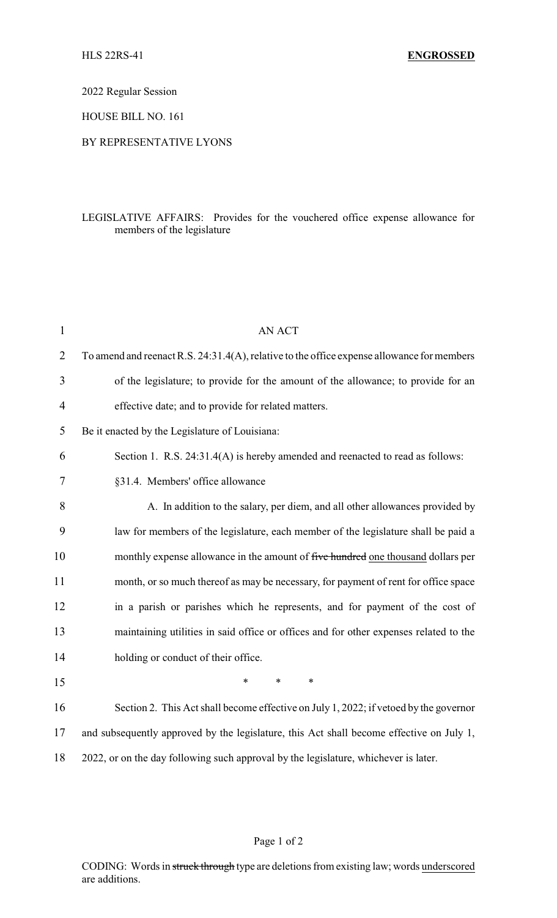2022 Regular Session

HOUSE BILL NO. 161

## BY REPRESENTATIVE LYONS

## LEGISLATIVE AFFAIRS: Provides for the vouchered office expense allowance for members of the legislature

| $\mathbf{1}$   | AN ACT                                                                                     |
|----------------|--------------------------------------------------------------------------------------------|
| $\overline{2}$ | To amend and reenact R.S. 24:31.4(A), relative to the office expense allowance for members |
| 3              | of the legislature; to provide for the amount of the allowance; to provide for an          |
| 4              | effective date; and to provide for related matters.                                        |
| 5              | Be it enacted by the Legislature of Louisiana:                                             |
| 6              | Section 1. R.S. 24:31.4(A) is hereby amended and reenacted to read as follows:             |
| 7              | §31.4. Members' office allowance                                                           |
| 8              | A. In addition to the salary, per diem, and all other allowances provided by               |
| 9              | law for members of the legislature, each member of the legislature shall be paid a         |
| 10             | monthly expense allowance in the amount of five hundred one thousand dollars per           |
| 11             | month, or so much thereof as may be necessary, for payment of rent for office space        |
| 12             | in a parish or parishes which he represents, and for payment of the cost of                |
| 13             | maintaining utilities in said office or offices and for other expenses related to the      |
| 14             | holding or conduct of their office.                                                        |
| 15             | $\ast$<br>$\ast$<br>*                                                                      |
| 16             | Section 2. This Act shall become effective on July 1, 2022; if vetoed by the governor      |
| 17             | and subsequently approved by the legislature, this Act shall become effective on July 1,   |
| 18             | 2022, or on the day following such approval by the legislature, whichever is later.        |

## Page 1 of 2

CODING: Words in struck through type are deletions from existing law; words underscored are additions.